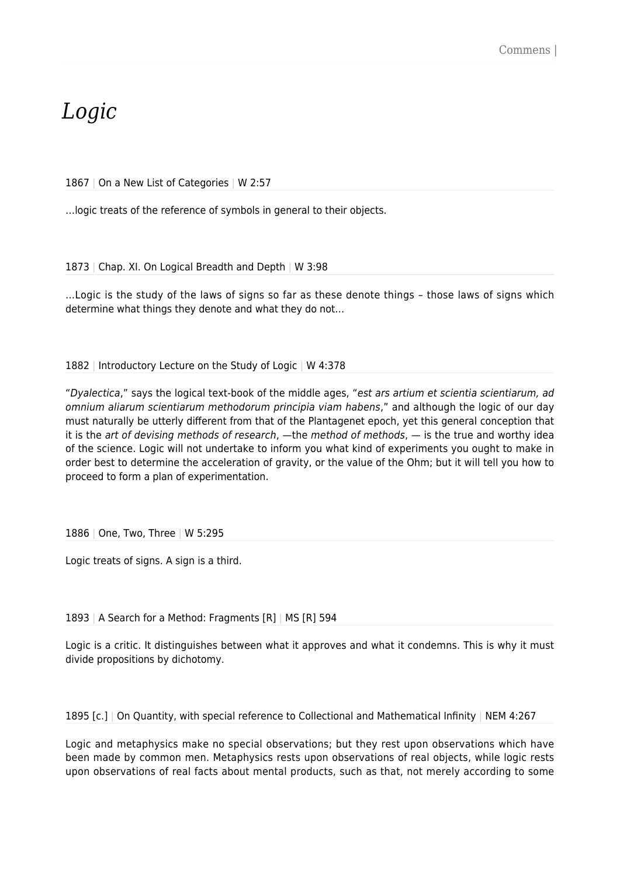# *Logic*

#### 1867 | On a New List of Categories | W 2:57

…logic treats of the reference of symbols in general to their objects.

1873 | Chap. XI. On Logical Breadth and Depth | W 3:98

…Logic is the study of the laws of signs so far as these denote things – those laws of signs which determine what things they denote and what they do not…

1882 | Introductory Lecture on the Study of Logic | W 4:378

"Dyalectica," says the logical text-book of the middle ages, "est ars artium et scientia scientiarum, ad omnium aliarum scientiarum methodorum principia viam habens," and although the logic of our day must naturally be utterly different from that of the Plantagenet epoch, yet this general conception that it is the art of devising methods of research,  $-$ the method of methods,  $-$  is the true and worthy idea of the science. Logic will not undertake to inform you what kind of experiments you ought to make in order best to determine the acceleration of gravity, or the value of the Ohm; but it will tell you how to proceed to form a plan of experimentation.

1886 | One, Two, Three | W 5:295

Logic treats of signs. A sign is a third.

## 1893 | A Search for a Method: Fragments [R] | MS [R] 594

Logic is a critic. It distinguishes between what it approves and what it condemns. This is why it must divide propositions by dichotomy.

#### 1895 [c.] | On Quantity, with special reference to Collectional and Mathematical Infinity | NEM 4:267

Logic and metaphysics make no special observations; but they rest upon observations which have been made by common men. Metaphysics rests upon observations of real objects, while logic rests upon observations of real facts about mental products, such as that, not merely according to some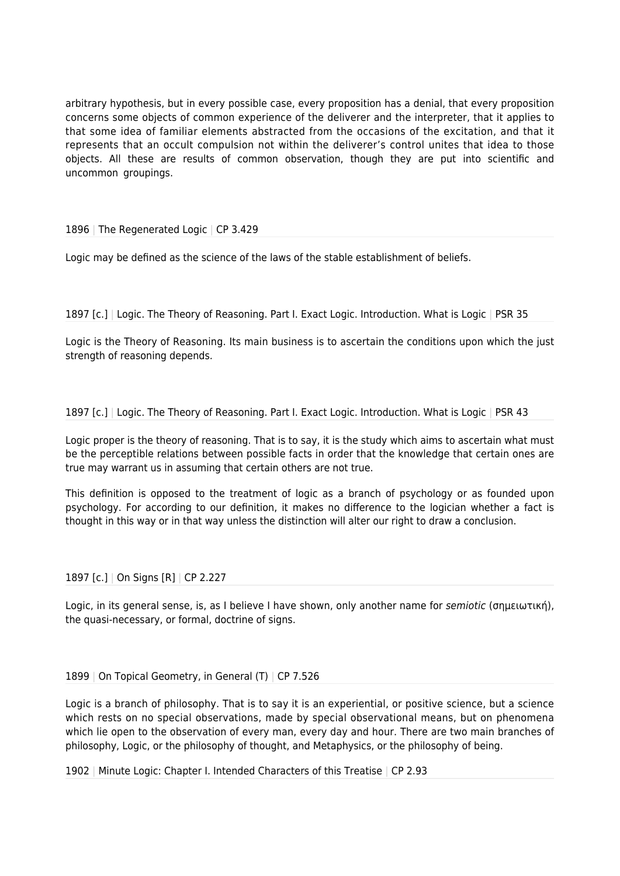arbitrary hypothesis, but in every possible case, every proposition has a denial, that every proposition concerns some objects of common experience of the deliverer and the interpreter, that it applies to that some idea of familiar elements abstracted from the occasions of the excitation, and that it represents that an occult compulsion not within the deliverer's control unites that idea to those objects. All these are results of common observation, though they are put into scientific and uncommon groupings.

1896 | The Regenerated Logic | CP 3.429

Logic may be defined as the science of the laws of the stable establishment of beliefs.

1897 [c.] | Logic. The Theory of Reasoning. Part I. Exact Logic. Introduction. What is Logic | PSR 35

Logic is the Theory of Reasoning. Its main business is to ascertain the conditions upon which the just strength of reasoning depends.

1897 [c.] | Logic. The Theory of Reasoning. Part I. Exact Logic. Introduction. What is Logic | PSR 43

Logic proper is the theory of reasoning. That is to say, it is the study which aims to ascertain what must be the perceptible relations between possible facts in order that the knowledge that certain ones are true may warrant us in assuming that certain others are not true.

This definition is opposed to the treatment of logic as a branch of psychology or as founded upon psychology. For according to our definition, it makes no difference to the logician whether a fact is thought in this way or in that way unless the distinction will alter our right to draw a conclusion.

## 1897 [c.] | On Signs [R] | CP 2.227

Logic, in its general sense, is, as I believe I have shown, only another name for semiotic (σημειωτική), the quasi-necessary, or formal, doctrine of signs.

1899 | On Topical Geometry, in General (T) | CP 7.526

Logic is a branch of philosophy. That is to say it is an experiential, or positive science, but a science which rests on no special observations, made by special observational means, but on phenomena which lie open to the observation of every man, every day and hour. There are two main branches of philosophy, Logic, or the philosophy of thought, and Metaphysics, or the philosophy of being.

1902 | Minute Logic: Chapter I. Intended Characters of this Treatise | CP 2.93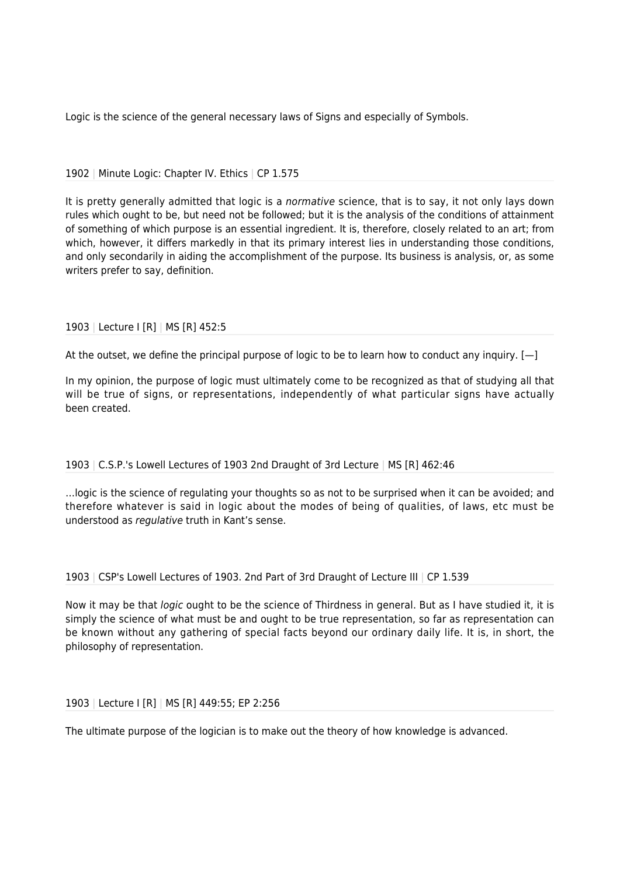Logic is the science of the general necessary laws of Signs and especially of Symbols.

## 1902 | Minute Logic: Chapter IV. Ethics | CP 1.575

It is pretty generally admitted that logic is a normative science, that is to say, it not only lays down rules which ought to be, but need not be followed; but it is the analysis of the conditions of attainment of something of which purpose is an essential ingredient. It is, therefore, closely related to an art; from which, however, it differs markedly in that its primary interest lies in understanding those conditions, and only secondarily in aiding the accomplishment of the purpose. Its business is analysis, or, as some writers prefer to say, definition.

## 1903 | Lecture I [R] | MS [R] 452:5

At the outset, we define the principal purpose of logic to be to learn how to conduct any inquiry. [—]

In my opinion, the purpose of logic must ultimately come to be recognized as that of studying all that will be true of signs, or representations, independently of what particular signs have actually been created.

## 1903 | C.S.P.'s Lowell Lectures of 1903 2nd Draught of 3rd Lecture | MS [R] 462:46

…logic is the science of regulating your thoughts so as not to be surprised when it can be avoided; and therefore whatever is said in logic about the modes of being of qualities, of laws, etc must be understood as regulative truth in Kant's sense.

## 1903 | CSP's Lowell Lectures of 1903. 2nd Part of 3rd Draught of Lecture III | CP 1.539

Now it may be that *logic* ought to be the science of Thirdness in general. But as I have studied it, it is simply the science of what must be and ought to be true representation, so far as representation can be known without any gathering of special facts beyond our ordinary daily life. It is, in short, the philosophy of representation.

## 1903 | Lecture I [R] | MS [R] 449:55; EP 2:256

The ultimate purpose of the logician is to make out the theory of how knowledge is advanced.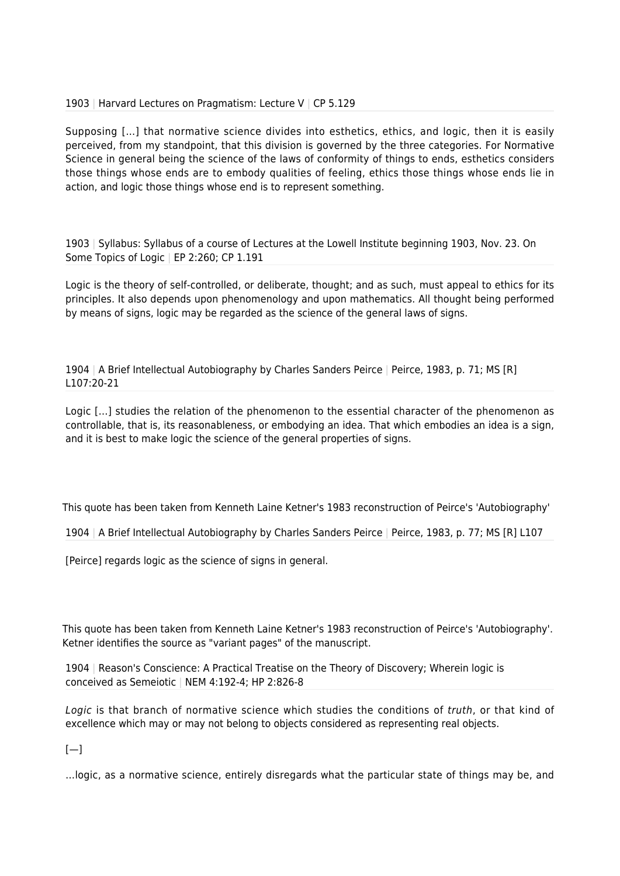## 1903 | Harvard Lectures on Pragmatism: Lecture V | CP 5.129

Supposing […] that normative science divides into esthetics, ethics, and logic, then it is easily perceived, from my standpoint, that this division is governed by the three categories. For Normative Science in general being the science of the laws of conformity of things to ends, esthetics considers those things whose ends are to embody qualities of feeling, ethics those things whose ends lie in action, and logic those things whose end is to represent something.

1903 | Syllabus: Syllabus of a course of Lectures at the Lowell Institute beginning 1903, Nov. 23. On Some Topics of Logic | EP 2:260; CP 1.191

Logic is the theory of self-controlled, or deliberate, thought; and as such, must appeal to ethics for its principles. It also depends upon phenomenology and upon mathematics. All thought being performed by means of signs, logic may be regarded as the science of the general laws of signs.

1904 | A Brief Intellectual Autobiography by Charles Sanders Peirce | Peirce, 1983, p. 71; MS [R] L107:20-21

Logic […] studies the relation of the phenomenon to the essential character of the phenomenon as controllable, that is, its reasonableness, or embodying an idea. That which embodies an idea is a sign, and it is best to make logic the science of the general properties of signs.

This quote has been taken from Kenneth Laine Ketner's 1983 reconstruction of Peirce's 'Autobiography'

1904 | A Brief Intellectual Autobiography by Charles Sanders Peirce | Peirce, 1983, p. 77; MS [R] L107

[Peirce] regards logic as the science of signs in general.

This quote has been taken from Kenneth Laine Ketner's 1983 reconstruction of Peirce's 'Autobiography'. Ketner identifies the source as "variant pages" of the manuscript.

1904 | Reason's Conscience: A Practical Treatise on the Theory of Discovery; Wherein logic is conceived as Semeiotic | NEM 4:192-4; HP 2:826-8

Logic is that branch of normative science which studies the conditions of truth, or that kind of excellence which may or may not belong to objects considered as representing real objects.

 $[-]$ 

…logic, as a normative science, entirely disregards what the particular state of things may be, and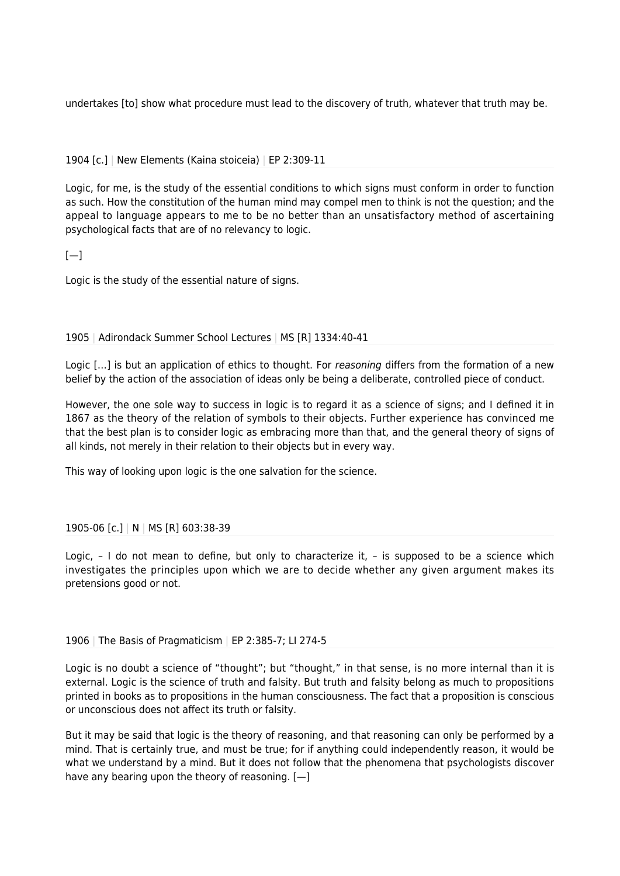undertakes [to] show what procedure must lead to the discovery of truth, whatever that truth may be.

## 1904 [c.] | New Elements (Kaina stoiceia) | EP 2:309-11

Logic, for me, is the study of the essential conditions to which signs must conform in order to function as such. How the constitution of the human mind may compel men to think is not the question; and the appeal to language appears to me to be no better than an unsatisfactory method of ascertaining psychological facts that are of no relevancy to logic.

 $[-]$ 

Logic is the study of the essential nature of signs.

## 1905 | Adirondack Summer School Lectures | MS [R] 1334:40-41

Logic [...] is but an application of ethics to thought. For reasoning differs from the formation of a new belief by the action of the association of ideas only be being a deliberate, controlled piece of conduct.

However, the one sole way to success in logic is to regard it as a science of signs; and I defined it in 1867 as the theory of the relation of symbols to their objects. Further experience has convinced me that the best plan is to consider logic as embracing more than that, and the general theory of signs of all kinds, not merely in their relation to their objects but in every way.

This way of looking upon logic is the one salvation for the science.

# 1905-06 [c.] | N | MS [R] 603:38-39

Logic, – I do not mean to define, but only to characterize it, – is supposed to be a science which investigates the principles upon which we are to decide whether any given argument makes its pretensions good or not.

## 1906 | The Basis of Pragmaticism | EP 2:385-7; LI 274-5

Logic is no doubt a science of "thought"; but "thought," in that sense, is no more internal than it is external. Logic is the science of truth and falsity. But truth and falsity belong as much to propositions printed in books as to propositions in the human consciousness. The fact that a proposition is conscious or unconscious does not affect its truth or falsity.

But it may be said that logic is the theory of reasoning, and that reasoning can only be performed by a mind. That is certainly true, and must be true; for if anything could independently reason, it would be what we understand by a mind. But it does not follow that the phenomena that psychologists discover have any bearing upon the theory of reasoning. [—]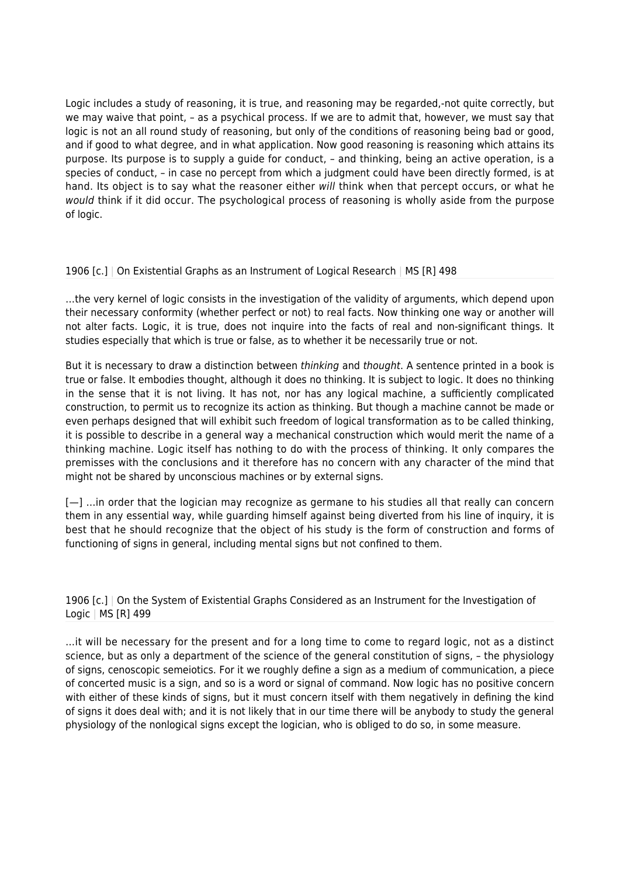Logic includes a study of reasoning, it is true, and reasoning may be regarded,-not quite correctly, but we may waive that point, – as a psychical process. If we are to admit that, however, we must say that logic is not an all round study of reasoning, but only of the conditions of reasoning being bad or good, and if good to what degree, and in what application. Now good reasoning is reasoning which attains its purpose. Its purpose is to supply a guide for conduct, – and thinking, being an active operation, is a species of conduct, – in case no percept from which a judgment could have been directly formed, is at hand. Its object is to say what the reasoner either will think when that percept occurs, or what he would think if it did occur. The psychological process of reasoning is wholly aside from the purpose of logic.

# 1906 [c.] | On Existential Graphs as an Instrument of Logical Research | MS [R] 498

…the very kernel of logic consists in the investigation of the validity of arguments, which depend upon their necessary conformity (whether perfect or not) to real facts. Now thinking one way or another will not alter facts. Logic, it is true, does not inquire into the facts of real and non-significant things. It studies especially that which is true or false, as to whether it be necessarily true or not.

But it is necessary to draw a distinction between thinking and thought. A sentence printed in a book is true or false. It embodies thought, although it does no thinking. It is subject to logic. It does no thinking in the sense that it is not living. It has not, nor has any logical machine, a sufficiently complicated construction, to permit us to recognize its action as thinking. But though a machine cannot be made or even perhaps designed that will exhibit such freedom of logical transformation as to be called thinking, it is possible to describe in a general way a mechanical construction which would merit the name of a thinking machine. Logic itself has nothing to do with the process of thinking. It only compares the premisses with the conclusions and it therefore has no concern with any character of the mind that might not be shared by unconscious machines or by external signs.

[-] ... in order that the logician may recognize as germane to his studies all that really can concern them in any essential way, while guarding himself against being diverted from his line of inquiry, it is best that he should recognize that the object of his study is the form of construction and forms of functioning of signs in general, including mental signs but not confined to them.

1906 [c.] | On the System of Existential Graphs Considered as an Instrument for the Investigation of Logic | MS [R] 499

…it will be necessary for the present and for a long time to come to regard logic, not as a distinct science, but as only a department of the science of the general constitution of signs, – the physiology of signs, cenoscopic semeiotics. For it we roughly define a sign as a medium of communication, a piece of concerted music is a sign, and so is a word or signal of command. Now logic has no positive concern with either of these kinds of signs, but it must concern itself with them negatively in defining the kind of signs it does deal with; and it is not likely that in our time there will be anybody to study the general physiology of the nonlogical signs except the logician, who is obliged to do so, in some measure.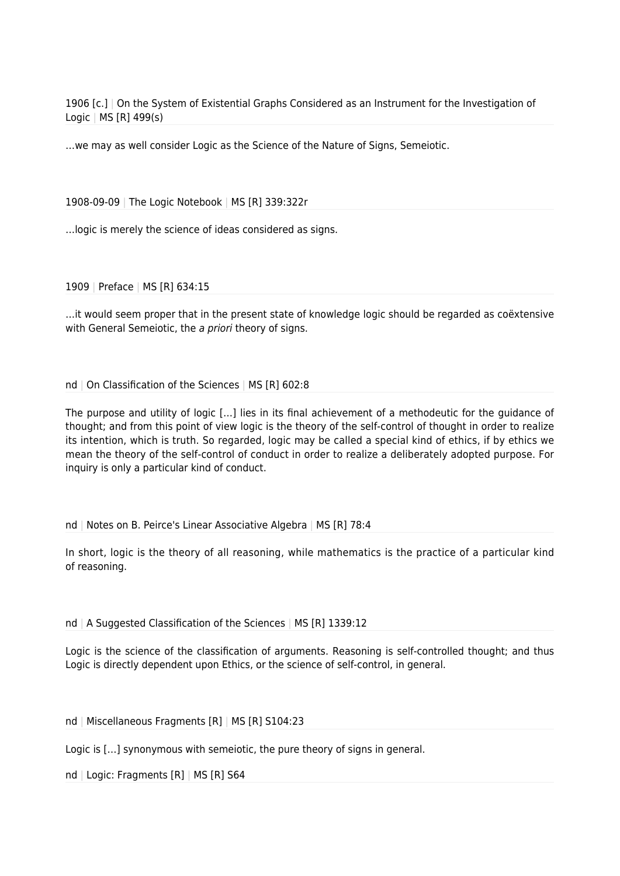1906 [c.] | On the System of Existential Graphs Considered as an Instrument for the Investigation of Logic | MS [R] 499(s)

…we may as well consider Logic as the Science of the Nature of Signs, Semeiotic.

1908-09-09 | The Logic Notebook | MS [R] 339:322r

…logic is merely the science of ideas considered as signs.

1909 | Preface | MS [R] 634:15

…it would seem proper that in the present state of knowledge logic should be regarded as coëxtensive with General Semeiotic, the a priori theory of signs.

nd | On Classification of the Sciences | MS [R] 602:8

The purpose and utility of logic […] lies in its final achievement of a methodeutic for the guidance of thought; and from this point of view logic is the theory of the self-control of thought in order to realize its intention, which is truth. So regarded, logic may be called a special kind of ethics, if by ethics we mean the theory of the self-control of conduct in order to realize a deliberately adopted purpose. For inquiry is only a particular kind of conduct.

nd | Notes on B. Peirce's Linear Associative Algebra | MS [R] 78:4

In short, logic is the theory of all reasoning, while mathematics is the practice of a particular kind of reasoning.

nd | A Suggested Classification of the Sciences | MS [R] 1339:12

Logic is the science of the classification of arguments. Reasoning is self-controlled thought; and thus Logic is directly dependent upon Ethics, or the science of self-control, in general.

nd | Miscellaneous Fragments [R] | MS [R] S104:23

Logic is […] synonymous with semeiotic, the pure theory of signs in general.

nd | Logic: Fragments [R] | MS [R] S64